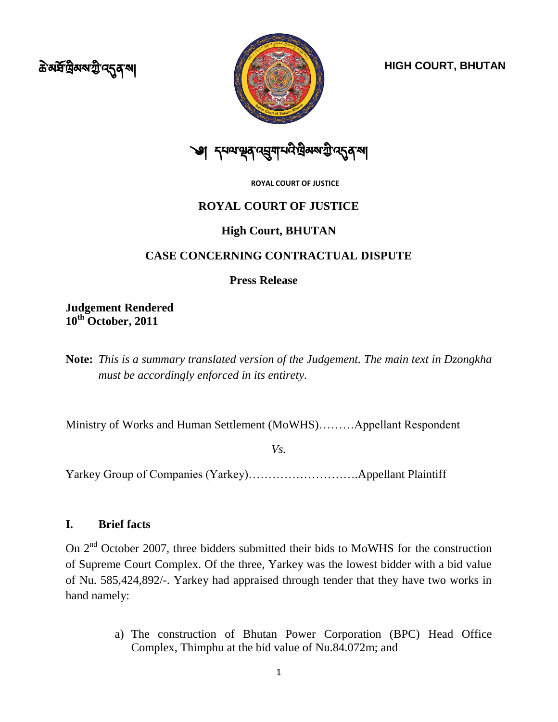ক্ট মৰ্ষপ্ৰিমম্মন্ট দ্**নু** মা



**HIGH COURT, BHUTAN**



**ROYAL COURT OF JUSTICE**

## **ROYAL COURT OF JUSTICE**

## **High Court, BHUTAN**

## **CASE CONCERNING CONTRACTUAL DISPUTE**

**Press Release**

**Judgement Rendered 10th October, 2011**

**Note:** *This is a summary translated version of the Judgement. The main text in Dzongkha must be accordingly enforced in its entirety.*

Ministry of Works and Human Settlement (MoWHS)………Appellant Respondent

*Vs.*

Yarkey Group of Companies (Yarkey)……………………….Appellant Plaintiff

## **I. Brief facts**

On 2<sup>nd</sup> October 2007, three bidders submitted their bids to MoWHS for the construction of Supreme Court Complex. Of the three, Yarkey was the lowest bidder with a bid value of Nu. 585,424,892/-. Yarkey had appraised through tender that they have two works in hand namely:

> a) The construction of Bhutan Power Corporation (BPC) Head Office Complex, Thimphu at the bid value of Nu.84.072m; and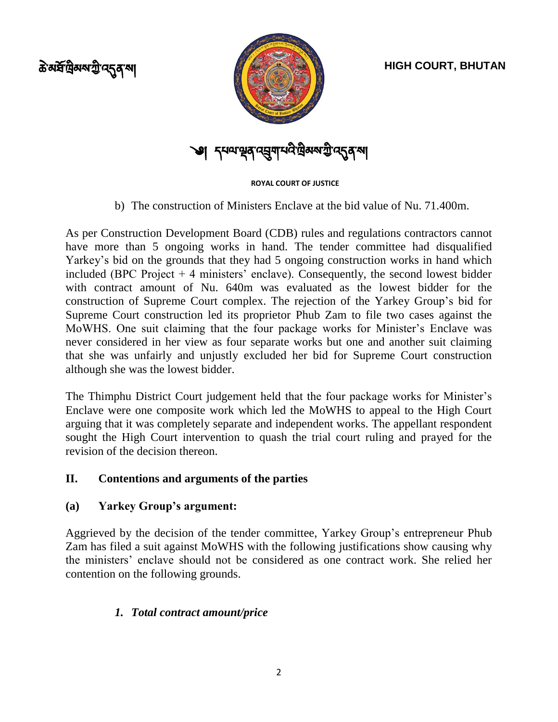ক্ট মৰ্ষপ্ৰিমম্মন্ট দ্**নু** মা



# ༄།

**ROYAL COURT OF JUSTICE**

b) The construction of Ministers Enclave at the bid value of Nu. 71.400m.

As per Construction Development Board (CDB) rules and regulations contractors cannot have more than 5 ongoing works in hand. The tender committee had disqualified Yarkey"s bid on the grounds that they had 5 ongoing construction works in hand which included (BPC Project  $+$  4 ministers' enclave). Consequently, the second lowest bidder with contract amount of Nu. 640m was evaluated as the lowest bidder for the construction of Supreme Court complex. The rejection of the Yarkey Group"s bid for Supreme Court construction led its proprietor Phub Zam to file two cases against the MoWHS. One suit claiming that the four package works for Minister"s Enclave was never considered in her view as four separate works but one and another suit claiming that she was unfairly and unjustly excluded her bid for Supreme Court construction although she was the lowest bidder.

The Thimphu District Court judgement held that the four package works for Minister's Enclave were one composite work which led the MoWHS to appeal to the High Court arguing that it was completely separate and independent works. The appellant respondent sought the High Court intervention to quash the trial court ruling and prayed for the revision of the decision thereon.

# **II. Contentions and arguments of the parties**

## **(a) Yarkey Group's argument:**

Aggrieved by the decision of the tender committee, Yarkey Group"s entrepreneur Phub Zam has filed a suit against MoWHS with the following justifications show causing why the ministers" enclave should not be considered as one contract work. She relied her contention on the following grounds.

# *1. Total contract amount/price*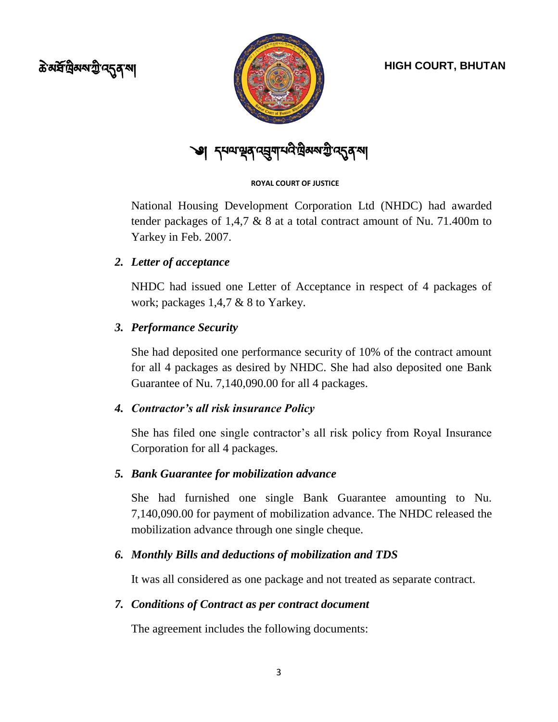ক্ত<sup>রু</sup>দ্রিমম্মন্ট ন্দ্রু ন্<sup>মা</sup>



༄།

### **ROYAL COURT OF JUSTICE**

National Housing Development Corporation Ltd (NHDC) had awarded tender packages of 1,4,7 & 8 at a total contract amount of Nu. 71.400m to Yarkey in Feb. 2007.

## *2. Letter of acceptance*

NHDC had issued one Letter of Acceptance in respect of 4 packages of work; packages 1,4,7 & 8 to Yarkey.

# *3. Performance Security*

She had deposited one performance security of 10% of the contract amount for all 4 packages as desired by NHDC. She had also deposited one Bank Guarantee of Nu. 7,140,090.00 for all 4 packages.

## *4. Contractor's all risk insurance Policy*

She has filed one single contractor's all risk policy from Royal Insurance Corporation for all 4 packages.

## *5. Bank Guarantee for mobilization advance*

She had furnished one single Bank Guarantee amounting to Nu. 7,140,090.00 for payment of mobilization advance. The NHDC released the mobilization advance through one single cheque.

## *6. Monthly Bills and deductions of mobilization and TDS*

It was all considered as one package and not treated as separate contract.

## *7. Conditions of Contract as per contract document*

The agreement includes the following documents: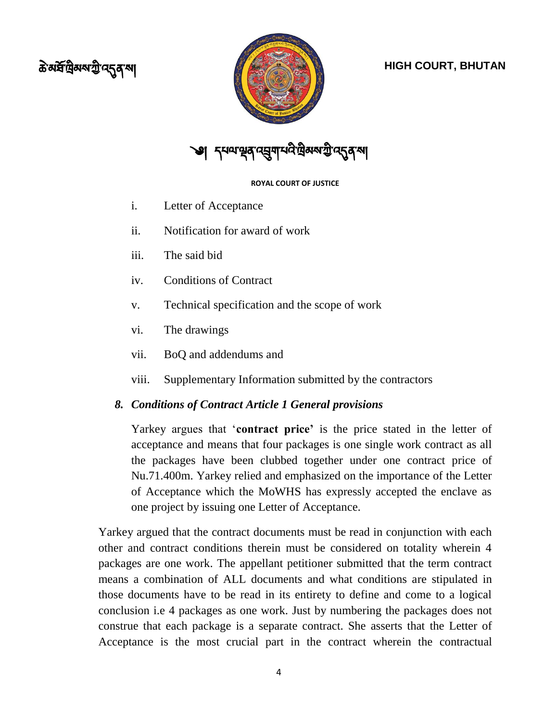# ক্ট মৰ্ষপ্ৰিমম্মন্ট দ্**নু** মা





### **ROYAL COURT OF JUSTICE**

- i. Letter of Acceptance
- ii. Notification for award of work
- iii. The said bid
- iv. Conditions of Contract
- v. Technical specification and the scope of work
- vi. The drawings
- vii. BoQ and addendums and
- viii. Supplementary Information submitted by the contractors

## *8. Conditions of Contract Article 1 General provisions*

Yarkey argues that "**contract price'** is the price stated in the letter of acceptance and means that four packages is one single work contract as all the packages have been clubbed together under one contract price of Nu.71.400m. Yarkey relied and emphasized on the importance of the Letter of Acceptance which the MoWHS has expressly accepted the enclave as one project by issuing one Letter of Acceptance.

Yarkey argued that the contract documents must be read in conjunction with each other and contract conditions therein must be considered on totality wherein 4 packages are one work. The appellant petitioner submitted that the term contract means a combination of ALL documents and what conditions are stipulated in those documents have to be read in its entirety to define and come to a logical conclusion i.e 4 packages as one work. Just by numbering the packages does not construe that each package is a separate contract. She asserts that the Letter of Acceptance is the most crucial part in the contract wherein the contractual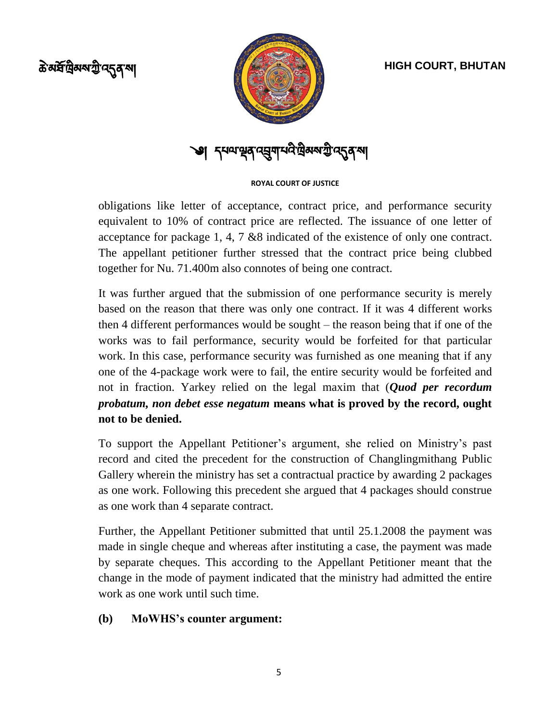ক্ত<sup>রু</sup>দ্রিমম্মন্ট ন্দ্রু ন্<sup>মা</sup>



**্বা** *ব্*যম্মন্থৰ ব্য়ুমান্দৰ দ্ৰীজনগ্ৰী ব্যৱস্থা

### **ROYAL COURT OF JUSTICE**

obligations like letter of acceptance, contract price, and performance security equivalent to 10% of contract price are reflected. The issuance of one letter of acceptance for package 1, 4, 7 &8 indicated of the existence of only one contract. The appellant petitioner further stressed that the contract price being clubbed together for Nu. 71.400m also connotes of being one contract.

It was further argued that the submission of one performance security is merely based on the reason that there was only one contract. If it was 4 different works then 4 different performances would be sought – the reason being that if one of the works was to fail performance, security would be forfeited for that particular work. In this case, performance security was furnished as one meaning that if any one of the 4-package work were to fail, the entire security would be forfeited and not in fraction. Yarkey relied on the legal maxim that (*Quod per recordum probatum, non debet esse negatum* **means what is proved by the record, ought not to be denied.**

To support the Appellant Petitioner"s argument, she relied on Ministry"s past record and cited the precedent for the construction of Changlingmithang Public Gallery wherein the ministry has set a contractual practice by awarding 2 packages as one work. Following this precedent she argued that 4 packages should construe as one work than 4 separate contract.

Further, the Appellant Petitioner submitted that until 25.1.2008 the payment was made in single cheque and whereas after instituting a case, the payment was made by separate cheques. This according to the Appellant Petitioner meant that the change in the mode of payment indicated that the ministry had admitted the entire work as one work until such time.

## **(b) MoWHS's counter argument:**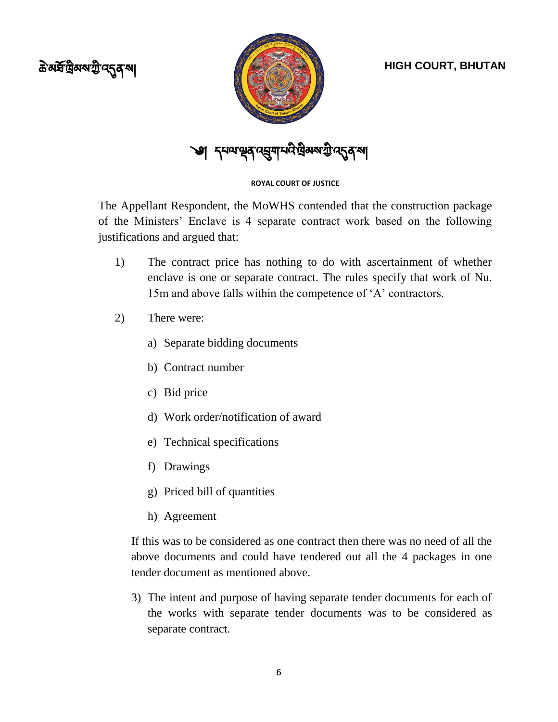



্ঞ। *ম্*দন্দদ্রন্দ্র্দ্রশার্ম্মই ব্রান্ত ব্যব্দন্ত কর

### **ROYAL COURT OF JUSTICE**

The Appellant Respondent, the MoWHS contended that the construction package of the Ministers" Enclave is 4 separate contract work based on the following justifications and argued that:

- 1) The contract price has nothing to do with ascertainment of whether enclave is one or separate contract. The rules specify that work of Nu. 15m and above falls within the competence of 'A' contractors.
- 2) There were:
	- a) Separate bidding documents
	- b) Contract number
	- c) Bid price
	- d) Work order/notification of award
	- e) Technical specifications
	- f) Drawings
	- g) Priced bill of quantities
	- h) Agreement

If this was to be considered as one contract then there was no need of all the above documents and could have tendered out all the 4 packages in one tender document as mentioned above.

3) The intent and purpose of having separate tender documents for each of the works with separate tender documents was to be considered as separate contract.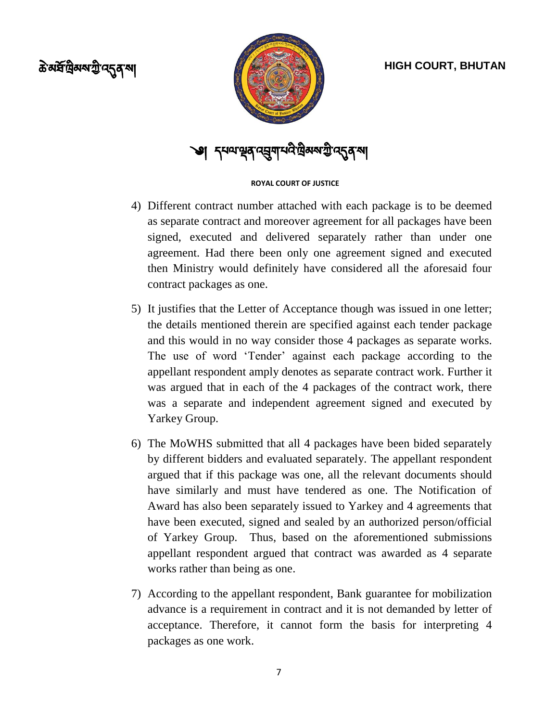



༄།

### **ROYAL COURT OF JUSTICE**

- 4) Different contract number attached with each package is to be deemed as separate contract and moreover agreement for all packages have been signed, executed and delivered separately rather than under one agreement. Had there been only one agreement signed and executed then Ministry would definitely have considered all the aforesaid four contract packages as one.
- 5) It justifies that the Letter of Acceptance though was issued in one letter; the details mentioned therein are specified against each tender package and this would in no way consider those 4 packages as separate works. The use of word 'Tender' against each package according to the appellant respondent amply denotes as separate contract work. Further it was argued that in each of the 4 packages of the contract work, there was a separate and independent agreement signed and executed by Yarkey Group.
- 6) The MoWHS submitted that all 4 packages have been bided separately by different bidders and evaluated separately. The appellant respondent argued that if this package was one, all the relevant documents should have similarly and must have tendered as one. The Notification of Award has also been separately issued to Yarkey and 4 agreements that have been executed, signed and sealed by an authorized person/official of Yarkey Group. Thus, based on the aforementioned submissions appellant respondent argued that contract was awarded as 4 separate works rather than being as one.
- 7) According to the appellant respondent, Bank guarantee for mobilization advance is a requirement in contract and it is not demanded by letter of acceptance. Therefore, it cannot form the basis for interpreting 4 packages as one work.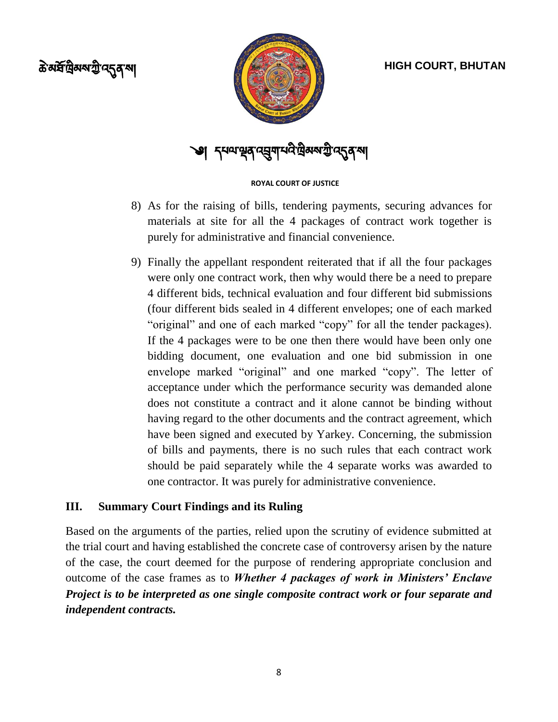



༄།

### **ROYAL COURT OF JUSTICE**

- 8) As for the raising of bills, tendering payments, securing advances for materials at site for all the 4 packages of contract work together is purely for administrative and financial convenience.
- 9) Finally the appellant respondent reiterated that if all the four packages were only one contract work, then why would there be a need to prepare 4 different bids, technical evaluation and four different bid submissions (four different bids sealed in 4 different envelopes; one of each marked "original" and one of each marked "copy" for all the tender packages). If the 4 packages were to be one then there would have been only one bidding document, one evaluation and one bid submission in one envelope marked "original" and one marked "copy". The letter of acceptance under which the performance security was demanded alone does not constitute a contract and it alone cannot be binding without having regard to the other documents and the contract agreement, which have been signed and executed by Yarkey. Concerning, the submission of bills and payments, there is no such rules that each contract work should be paid separately while the 4 separate works was awarded to one contractor. It was purely for administrative convenience.

## **III. Summary Court Findings and its Ruling**

Based on the arguments of the parties, relied upon the scrutiny of evidence submitted at the trial court and having established the concrete case of controversy arisen by the nature of the case, the court deemed for the purpose of rendering appropriate conclusion and outcome of the case frames as to *Whether 4 packages of work in Ministers' Enclave Project is to be interpreted as one single composite contract work or four separate and independent contracts.*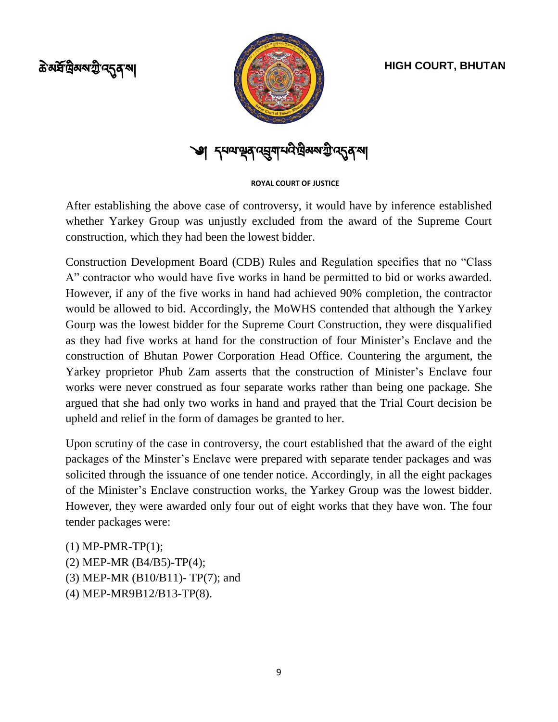ক্ট মৰ্ষপ্ৰিমম্মন্ট দ্**নু** মা



༄།

**ROYAL COURT OF JUSTICE**

After establishing the above case of controversy, it would have by inference established whether Yarkey Group was unjustly excluded from the award of the Supreme Court construction, which they had been the lowest bidder.

Construction Development Board (CDB) Rules and Regulation specifies that no "Class A" contractor who would have five works in hand be permitted to bid or works awarded. However, if any of the five works in hand had achieved 90% completion, the contractor would be allowed to bid. Accordingly, the MoWHS contended that although the Yarkey Gourp was the lowest bidder for the Supreme Court Construction, they were disqualified as they had five works at hand for the construction of four Minister"s Enclave and the construction of Bhutan Power Corporation Head Office. Countering the argument, the Yarkey proprietor Phub Zam asserts that the construction of Minister's Enclave four works were never construed as four separate works rather than being one package. She argued that she had only two works in hand and prayed that the Trial Court decision be upheld and relief in the form of damages be granted to her.

Upon scrutiny of the case in controversy, the court established that the award of the eight packages of the Minster"s Enclave were prepared with separate tender packages and was solicited through the issuance of one tender notice. Accordingly, in all the eight packages of the Minister"s Enclave construction works, the Yarkey Group was the lowest bidder. However, they were awarded only four out of eight works that they have won. The four tender packages were:

- (1) MP-PMR-TP(1);
- (2) MEP-MR (B4/B5)-TP(4);
- (3) MEP-MR (B10/B11)- TP(7); and
- (4) MEP-MR9B12/B13-TP(8).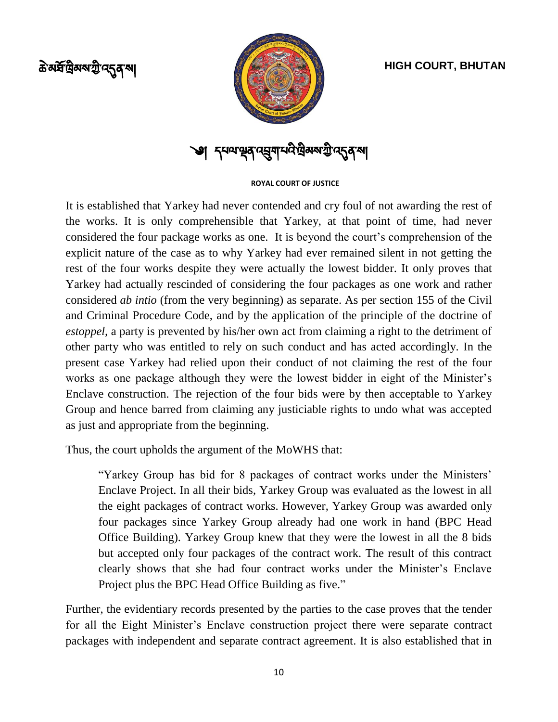ক্ট *ম*ৰ্ষশ্ৰীৰম শ্ৰী ন্দৰ মুখ



༄།

### **ROYAL COURT OF JUSTICE**

It is established that Yarkey had never contended and cry foul of not awarding the rest of the works. It is only comprehensible that Yarkey, at that point of time, had never considered the four package works as one. It is beyond the court's comprehension of the explicit nature of the case as to why Yarkey had ever remained silent in not getting the rest of the four works despite they were actually the lowest bidder. It only proves that Yarkey had actually rescinded of considering the four packages as one work and rather considered *ab intio* (from the very beginning) as separate. As per section 155 of the Civil and Criminal Procedure Code, and by the application of the principle of the doctrine of *estoppel,* a party is prevented by his/her own act from claiming a right to the detriment of other party who was entitled to rely on such conduct and has acted accordingly. In the present case Yarkey had relied upon their conduct of not claiming the rest of the four works as one package although they were the lowest bidder in eight of the Minister's Enclave construction. The rejection of the four bids were by then acceptable to Yarkey Group and hence barred from claiming any justiciable rights to undo what was accepted as just and appropriate from the beginning.

Thus, the court upholds the argument of the MoWHS that:

"Yarkey Group has bid for 8 packages of contract works under the Ministers" Enclave Project. In all their bids, Yarkey Group was evaluated as the lowest in all the eight packages of contract works. However, Yarkey Group was awarded only four packages since Yarkey Group already had one work in hand (BPC Head Office Building). Yarkey Group knew that they were the lowest in all the 8 bids but accepted only four packages of the contract work. The result of this contract clearly shows that she had four contract works under the Minister"s Enclave Project plus the BPC Head Office Building as five."

Further, the evidentiary records presented by the parties to the case proves that the tender for all the Eight Minister's Enclave construction project there were separate contract packages with independent and separate contract agreement. It is also established that in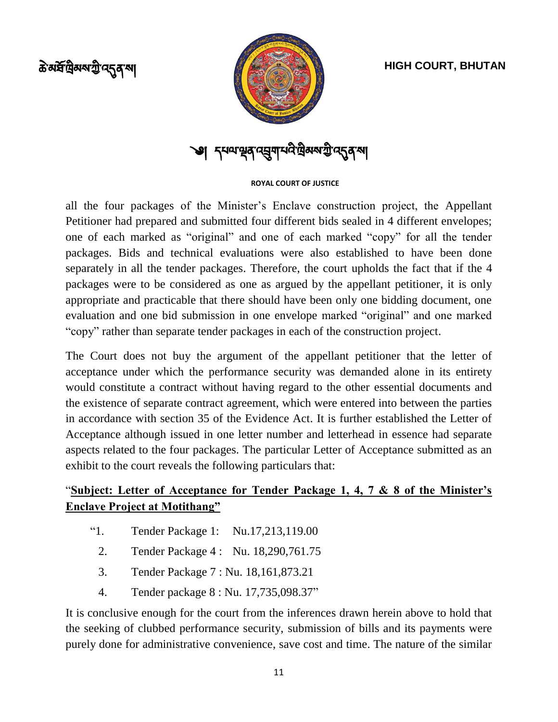ক্ত<sup>রু</sup>দ্রিমম্মন্ট ন্দ্রু ন্<sup>মা</sup>



༄།

### **ROYAL COURT OF JUSTICE**

all the four packages of the Minister"s Enclave construction project, the Appellant Petitioner had prepared and submitted four different bids sealed in 4 different envelopes; one of each marked as "original" and one of each marked "copy" for all the tender packages. Bids and technical evaluations were also established to have been done separately in all the tender packages. Therefore, the court upholds the fact that if the 4 packages were to be considered as one as argued by the appellant petitioner, it is only appropriate and practicable that there should have been only one bidding document, one evaluation and one bid submission in one envelope marked "original" and one marked "copy" rather than separate tender packages in each of the construction project.

The Court does not buy the argument of the appellant petitioner that the letter of acceptance under which the performance security was demanded alone in its entirety would constitute a contract without having regard to the other essential documents and the existence of separate contract agreement, which were entered into between the parties in accordance with section 35 of the Evidence Act. It is further established the Letter of Acceptance although issued in one letter number and letterhead in essence had separate aspects related to the four packages. The particular Letter of Acceptance submitted as an exhibit to the court reveals the following particulars that:

# "**Subject: Letter of Acceptance for Tender Package 1, 4, 7 & 8 of the Minister's Enclave Project at Motithang"**

- "1. Tender Package 1: Nu.17,213,119.00
	- 2. Tender Package 4 : Nu. 18,290,761.75
	- 3. Tender Package 7 : Nu. 18,161,873.21
	- 4. Tender package 8 : Nu. 17,735,098.37"

It is conclusive enough for the court from the inferences drawn herein above to hold that the seeking of clubbed performance security, submission of bills and its payments were purely done for administrative convenience, save cost and time. The nature of the similar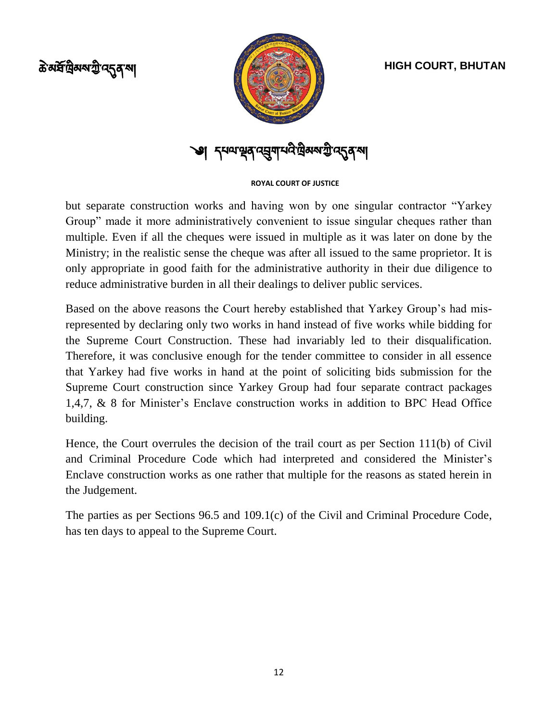



༄།

### **ROYAL COURT OF JUSTICE**

but separate construction works and having won by one singular contractor "Yarkey Group" made it more administratively convenient to issue singular cheques rather than multiple. Even if all the cheques were issued in multiple as it was later on done by the Ministry; in the realistic sense the cheque was after all issued to the same proprietor. It is only appropriate in good faith for the administrative authority in their due diligence to reduce administrative burden in all their dealings to deliver public services.

Based on the above reasons the Court hereby established that Yarkey Group"s had misrepresented by declaring only two works in hand instead of five works while bidding for the Supreme Court Construction. These had invariably led to their disqualification. Therefore, it was conclusive enough for the tender committee to consider in all essence that Yarkey had five works in hand at the point of soliciting bids submission for the Supreme Court construction since Yarkey Group had four separate contract packages 1,4,7, & 8 for Minister"s Enclave construction works in addition to BPC Head Office building.

Hence, the Court overrules the decision of the trail court as per Section 111(b) of Civil and Criminal Procedure Code which had interpreted and considered the Minister"s Enclave construction works as one rather that multiple for the reasons as stated herein in the Judgement.

The parties as per Sections 96.5 and 109.1(c) of the Civil and Criminal Procedure Code, has ten days to appeal to the Supreme Court.